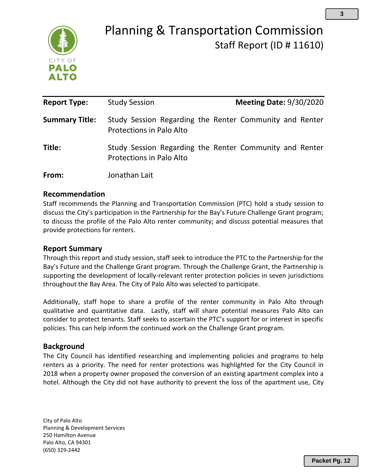

# Planning & Transportation Commission Staff Report (ID # 11610)

| <b>Report Type:</b>   | <b>Study Session</b>            | <b>Meeting Date: 9/30/2020</b>                          |
|-----------------------|---------------------------------|---------------------------------------------------------|
|                       |                                 |                                                         |
| <b>Summary Title:</b> | Protections in Palo Alto        | Study Session Regarding the Renter Community and Renter |
| Title:                | <b>Protections in Palo Alto</b> | Study Session Regarding the Renter Community and Renter |
| From:                 | Jonathan Lait                   |                                                         |

## **Recommendation**

Staff recommends the Planning and Transportation Commission (PTC) hold a study session to discuss the City's participation in the Partnership for the Bay's Future Challenge Grant program; to discuss the profile of the Palo Alto renter community; and discuss potential measures that provide protections for renters.

# **Report Summary**

Through this report and study session, staff seek to introduce the PTC to the Partnership for the Bay's Future and the Challenge Grant program. Through the Challenge Grant, the Partnership is supporting the development of locally-relevant renter protection policies in seven jurisdictions throughout the Bay Area. The City of Palo Alto was selected to participate.

Additionally, staff hope to share a profile of the renter community in Palo Alto through qualitative and quantitative data. Lastly, staff will share potential measures Palo Alto can consider to protect tenants. Staff seeks to ascertain the PTC's support for or interest in specific policies. This can help inform the continued work on the Challenge Grant program.

# **Background**

The City Council has identified researching and implementing policies and programs to help renters as a priority. The need for renter protections was highlighted for the City Council in 2018 when a property owner proposed the conversion of an existing apartment complex into a hotel. Although the City did not have authority to prevent the loss of the apartment use, City

City of Palo Alto Planning & Development Services 250 Hamilton Avenue Palo Alto, CA 94301 (650) 329-2442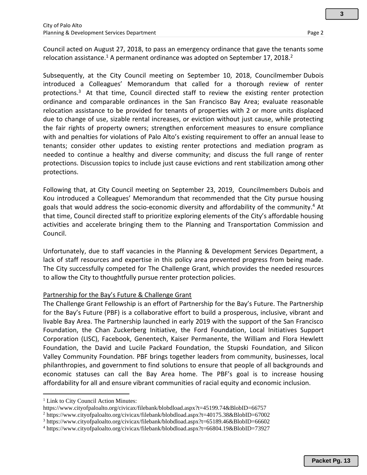Subsequently, at the City Council meeting on September 10, 2018, Councilmember Dubois introduced a Colleagues' Memorandum that called for a thorough review of renter protections.<sup>3</sup> At that time, Council directed staff to review the existing renter protection ordinance and comparable ordinances in the San Francisco Bay Area; evaluate reasonable relocation assistance to be provided for tenants of properties with 2 or more units displaced due to change of use, sizable rental increases, or eviction without just cause, while protecting the fair rights of property owners; strengthen enforcement measures to ensure compliance with and penalties for violations of Palo Alto's existing requirement to offer an annual lease to tenants; consider other updates to existing renter protections and mediation program as needed to continue a healthy and diverse community; and discuss the full range of renter protections. Discussion topics to include just cause evictions and rent stabilization among other protections.

Following that, at City Council meeting on September 23, 2019, Councilmembers Dubois and Kou introduced a Colleagues' Memorandum that recommended that the City pursue housing goals that would address the socio-economic diversity and affordability of the community. <sup>4</sup> At that time, Council directed staff to prioritize exploring elements of the City's affordable housing activities and accelerate bringing them to the Planning and Transportation Commission and Council.

Unfortunately, due to staff vacancies in the Planning & Development Services Department, a lack of staff resources and expertise in this policy area prevented progress from being made. The City successfully competed for The Challenge Grant, which provides the needed resources to allow the City to thoughtfully pursue renter protection policies.

# Partnership for the Bay's Future & Challenge Grant

The Challenge Grant Fellowship is an effort of Partnership for the Bay's Future. The Partnership for the Bay's Future (PBF) is a collaborative effort to build a prosperous, inclusive, vibrant and livable Bay Area. The Partnership launched in early 2019 with the support of the San Francisco Foundation, the Chan Zuckerberg Initiative, the Ford Foundation, Local Initiatives Support Corporation (LISC), Facebook, Genentech, Kaiser Permanente, the William and Flora Hewlett Foundation, the David and Lucile Packard Foundation, the Stupski Foundation, and Silicon Valley Community Foundation. PBF brings together leaders from community, businesses, local philanthropies, and government to find solutions to ensure that people of all backgrounds and economic statuses can call the Bay Area home. The PBF's goal is to increase housing affordability for all and ensure vibrant communities of racial equity and economic inclusion.

**3**

<sup>&</sup>lt;sup>1</sup> Link to City Council Action Minutes:

https://www.cityofpaloalto.org/civicax/filebank/blobdload.aspx?t=45199.74&BlobID=66757

<sup>2</sup> https://www.cityofpaloalto.org/civicax/filebank/blobdload.aspx?t=40175.38&BlobID=67002

<sup>3</sup> https://www.cityofpaloalto.org/civicax/filebank/blobdload.aspx?t=65189.46&BlobID=66602

<sup>4</sup> https://www.cityofpaloalto.org/civicax/filebank/blobdload.aspx?t=66804.19&BlobID=73927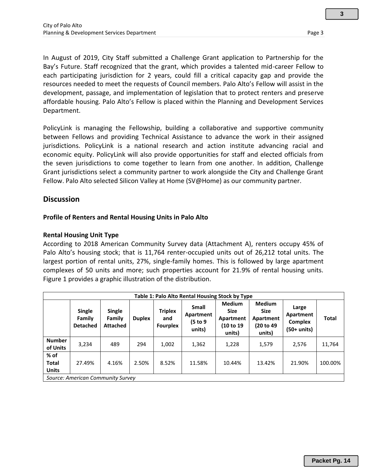In August of 2019, City Staff submitted a Challenge Grant application to Partnership for the Bay's Future. Staff recognized that the grant, which provides a talented mid-career Fellow to each participating jurisdiction for 2 years, could fill a critical capacity gap and provide the resources needed to meet the requests of Council members. Palo Alto's Fellow will assist in the development, passage, and implementation of legislation that to protect renters and preserve affordable housing. Palo Alto's Fellow is placed within the Planning and Development Services Department.

PolicyLink is managing the Fellowship, building a collaborative and supportive community between Fellows and providing Technical Assistance to advance the work in their assigned jurisdictions. PolicyLink is a national research and action institute advancing racial and economic equity. PolicyLink will also provide opportunities for staff and elected officials from the seven jurisdictions to come together to learn from one another. In addition, Challenge Grant jurisdictions select a community partner to work alongside the City and Challenge Grant Fellow. Palo Alto selected Silicon Valley at Home (SV@Home) as our community partner.

## **Discussion**

## **Profile of Renters and Rental Housing Units in Palo Alto**

## **Rental Housing Unit Type**

According to 2018 American Community Survey data (Attachment A), renters occupy 45% of Palo Alto's housing stock; that is 11,764 renter-occupied units out of 26,212 total units. The largest portion of rental units, 27%, single-family homes. This is followed by large apartment complexes of 50 units and more; such properties account for 21.9% of rental housing units. Figure 1 provides a graphic illustration of the distribution.

| Table 1: Palo Alto Rental Housing Stock by Type |                                            |                                            |               |                                          |                                                 |                                                                  |                                                                   |                                              |              |
|-------------------------------------------------|--------------------------------------------|--------------------------------------------|---------------|------------------------------------------|-------------------------------------------------|------------------------------------------------------------------|-------------------------------------------------------------------|----------------------------------------------|--------------|
|                                                 | <b>Single</b><br>Family<br><b>Detached</b> | <b>Single</b><br>Family<br><b>Attached</b> | <b>Duplex</b> | <b>Triplex</b><br>and<br><b>Fourplex</b> | <b>Small</b><br>Apartment<br>(5 to 9)<br>units) | <b>Medium</b><br><b>Size</b><br>Apartment<br>(10 to 19<br>units) | <b>Medium</b><br><b>Size</b><br>Apartment<br>(20 to 49)<br>units) | Large<br>Apartment<br>Complex<br>(50+ units) | <b>Total</b> |
| <b>Number</b><br>of Units                       | 3,234                                      | 489                                        | 294           | 1,002                                    | 1,362                                           | 1,228                                                            | 1.579                                                             | 2,576                                        | 11,764       |
| $%$ of<br><b>Total</b><br><b>Units</b>          | 27.49%                                     | 4.16%                                      | 2.50%         | 8.52%                                    | 11.58%                                          | 10.44%                                                           | 13.42%                                                            | 21.90%                                       | 100.00%      |
| Source: American Community Survey               |                                            |                                            |               |                                          |                                                 |                                                                  |                                                                   |                                              |              |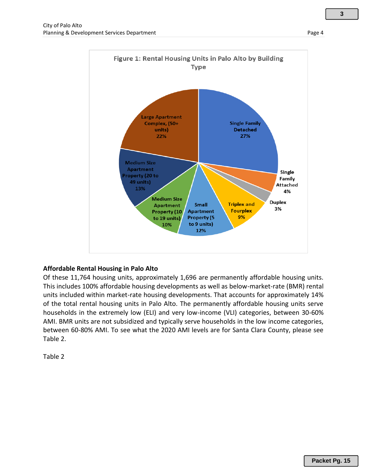

## **Affordable Rental Housing in Palo Alto**

Of these 11,764 housing units, approximately 1,696 are permanently affordable housing units. This includes 100% affordable housing developments as well as below-market-rate (BMR) rental units included within market-rate housing developments. That accounts for approximately 14% of the total rental housing units in Palo Alto. The permanently affordable housing units serve households in the extremely low (ELI) and very low-income (VLI) categories, between 30-60% AMI. BMR units are not subsidized and typically serve households in the low income categories, between 60-80% AMI. To see what the 2020 AMI levels are for Santa Clara County, please see Table 2.

Table 2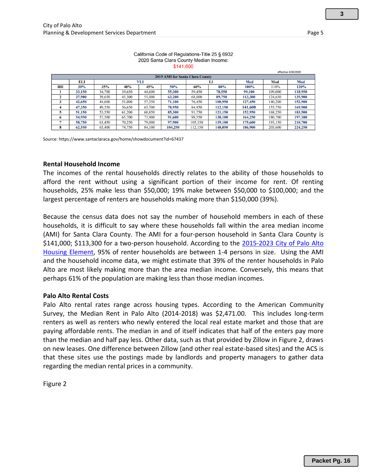|                                        |        |        |        |        |         |         |         |         |         | effective 4/30/2020 |
|----------------------------------------|--------|--------|--------|--------|---------|---------|---------|---------|---------|---------------------|
| <b>2019 AMI for Santa Clara County</b> |        |        |        |        |         |         |         |         |         |                     |
|                                        | ELI    |        |        | VLI    |         | LI      |         | Med     | Mod     | Mod                 |
| HН                                     | 30%    | 35%    | 40%    | 45%    | 50%     | 60%     | 80%     | 100%    | 110%    | 120%                |
|                                        | 33,150 | 34,700 | 39,650 | 44,600 | 55,300  | 59,450  | 78.550  | 99.100  | 109,000 | 118,950             |
|                                        | 37,900 | 39,650 | 45,300 | 51,000 | 63,200  | 68,000  | 89,750  | 113,300 | 124,650 | 135,900             |
|                                        | 42,650 | 44,600 | 51,000 | 57,350 | 71,100  | 76,450  | 100,950 | 127,450 | 140,200 | 152,900             |
|                                        | 47,350 | 49,550 | 56,650 | 63,700 | 78,950  | 84,950  | 112,150 | 141,600 | 155,750 | 169,900             |
|                                        | 51,150 | 53,550 | 61,200 | 68,850 | 85,300  | 91,750  | 121,150 | 152,950 | 168,250 | 183,500             |
| 6                                      | 54,950 | 57,500 | 65,700 | 73,900 | 91,600  | 98,550  | 130,100 | 164,250 | 180,700 | 197,100             |
|                                        | 58,750 | 61,450 | 70,250 | 79,000 | 97,900  | 105,350 | 139,100 | 175,600 | 193,150 | 210,700             |
| 8                                      | 62.550 | 65,400 | 74.750 | 84.100 | 104.250 | 12.150  | 148,050 | 186,900 | 205,600 | 224,250             |

#### California Code of Regulations-Title 25 § 6932 2020 Santa Clara County Median Income: \$141,600

Source: https://www.santaclaraca.gov/home/showdocument?id=67437

#### **Rental Household Income**

The incomes of the rental households directly relates to the ability of those households to afford the rent without using a significant portion of their income for rent. Of renting households, 25% make less than \$50,000; 19% make between \$50,000 to \$100,000; and the largest percentage of renters are households making more than \$150,000 (39%).

Because the census data does not say the number of household members in each of these households, it is difficult to say where these households fall within the area median income (AMI) for Santa Clara County. The AMI for a four-person household in Santa Clara County is \$141,000; \$113,300 for a two-person household. According to the [2015-2023 City of Palo Alto](https://www.cityofpaloalto.org/gov/depts/pln/long_range_planning/housing_programs_and_policies/housing_element_2015___2023.asp)  [Housing Element,](https://www.cityofpaloalto.org/gov/depts/pln/long_range_planning/housing_programs_and_policies/housing_element_2015___2023.asp) 95% of renter households are between 1-4 persons in size. Using the AMI and the household income data, we might estimate that 39% of the renter households in Palo Alto are most likely making more than the area median income. Conversely, this means that perhaps 61% of the population are making less than those median incomes.

#### **Palo Alto Rental Costs**

Palo Alto rental rates range across housing types. According to the American Community Survey, the Median Rent in Palo Alto (2014-2018) was \$2,471.00. This includes long-term renters as well as renters who newly entered the local real estate market and those that are paying affordable rents. The median in and of itself indicates that half of the enters pay more than the median and half pay less. Other data, such as that provided by Zillow in Figure 2, draws on new leases. One difference between Zillow (and other real estate-based sites) and the ACS is that these sites use the postings made by landlords and property managers to gather data regarding the median rental prices in a community.

Figure 2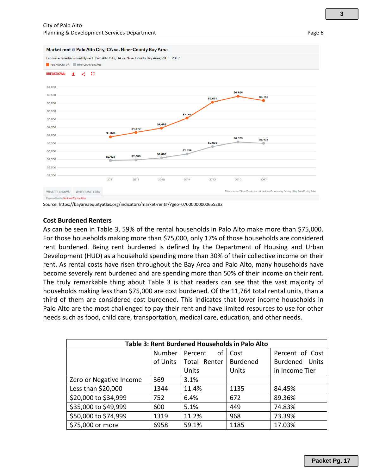

Source: https://bayareaequityatlas.org/indicators/market-rent#/?geo=07000000000655282

#### **Cost Burdened Renters**

As can be seen in Table 3, 59% of the rental households in Palo Alto make more than \$75,000. For those households making more than \$75,000, only 17% of those households are considered rent burdened. Being rent burdened is defined by the Department of Housing and Urban Development (HUD) as a household spending more than 30% of their collective income on their rent. As rental costs have risen throughout the Bay Area and Palo Alto, many households have become severely rent burdened and are spending more than 50% of their income on their rent. The truly remarkable thing about Table 3 is that readers can see that the vast majority of households making less than \$75,000 are cost burdened. Of the 11,764 total rental units, than a third of them are considered cost burdened. This indicates that lower income households in Palo Alto are the most challenged to pay their rent and have limited resources to use for other needs such as food, child care, transportation, medical care, education, and other needs.

| Table 3: Rent Burdened Households in Palo Alto |          |               |                 |                       |  |
|------------------------------------------------|----------|---------------|-----------------|-----------------------|--|
|                                                | Number   | οf<br>Percent | Cost            | Percent of Cost       |  |
|                                                | of Units | Total Renter  | <b>Burdened</b> | <b>Burdened Units</b> |  |
|                                                |          | Units         | Units           | in Income Tier        |  |
| Zero or Negative Income                        | 369      | 3.1%          |                 |                       |  |
| Less than \$20,000                             | 1344     | 11.4%         | 1135            | 84.45%                |  |
| \$20,000 to \$34,999                           | 752      | 6.4%          | 672             | 89.36%                |  |
| \$35,000 to \$49,999                           | 600      | 5.1%          | 449             | 74.83%                |  |
| \$50,000 to \$74,999                           | 1319     | 11.2%         | 968             | 73.39%                |  |
| \$75,000 or more                               | 6958     | 59.1%         | 1185            | 17.03%                |  |

**3**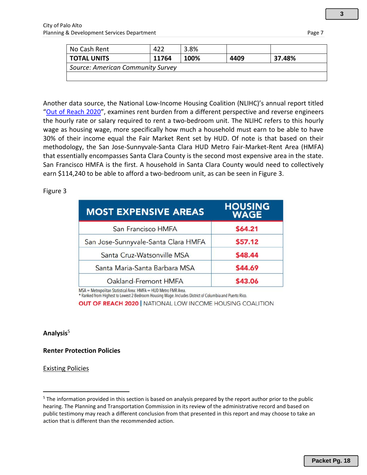| No Cash Rent                      | 422   | 3.8% |      |        |
|-----------------------------------|-------|------|------|--------|
| <b>TOTAL UNITS</b>                | 11764 | 100% | 4409 | 37.48% |
| Source: American Community Survey |       |      |      |        |
|                                   |       |      |      |        |

Another data source, the National Low-Income Housing Coalition (NLIHC)'s annual report titled "[Out of Reach 2020](https://reports.nlihc.org/sites/default/files/oor/files/reports/state/CA-2020-OOR.pdf)", examines rent burden from a different perspective and reverse engineers the hourly rate or salary required to rent a two-bedroom unit. The NLIHC refers to this hourly wage as housing wage, more specifically how much a household must earn to be able to have 30% of their income equal the Fair Market Rent set by HUD. Of note is that based on their methodology, the San Jose-Sunnyvale-Santa Clara HUD Metro Fair-Market-Rent Area (HMFA) that essentially encompasses Santa Clara County is the second most expensive area in the state. San Francisco HMFA is the first. A household in Santa Clara County would need to collectively earn \$114,240 to be able to afford a two-bedroom unit, as can be seen in Figure 3.

## Figure 3

| <b>MOST EXPENSIVE AREAS</b>         | <b>HOUSING</b><br><b>WAGE</b> |
|-------------------------------------|-------------------------------|
| San Francisco HMFA                  | \$64.21                       |
| San Jose-Sunnyvale-Santa Clara HMFA | \$57.12                       |
| Santa Cruz-Watsonville MSA          | \$48.44                       |
| Santa Maria-Santa Barbara MSA       | \$44.69                       |
| Oakland-Fremont HMFA                | \$43.06                       |

MSA = Metropolitan Statistical Area: HMFA = HUD Metro FMR Area.

\* Ranked from Highest to Lowest 2-Bedroom Housing Wage. Includes District of Columbia and Puerto Rico.

**OUT OF REACH 2020 | NATIONAL LOW INCOME HOUSING COALITION** 

#### **Analysis**<sup>5</sup>

**Renter Protection Policies**

Existing Policies

<sup>&</sup>lt;sup>5</sup> The information provided in this section is based on analysis prepared by the report author prior to the public hearing. The Planning and Transportation Commission in its review of the administrative record and based on public testimony may reach a different conclusion from that presented in this report and may choose to take an action that is different than the recommended action.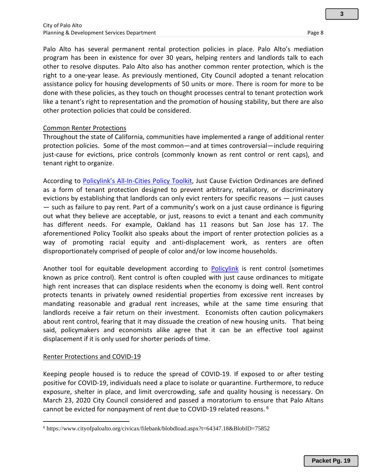Palo Alto has several permanent rental protection policies in place. Palo Alto's mediation program has been in existence for over 30 years, helping renters and landlords talk to each other to resolve disputes. Palo Alto also has another common renter protection, which is the right to a one-year lease. As previously mentioned, City Council adopted a tenant relocation assistance policy for housing developments of 50 units or more. There is room for more to be done with these policies, as they touch on thought processes central to tenant protection work like a tenant's right to representation and the promotion of housing stability, but there are also other protection policies that could be considered.

#### Common Renter Protections

Throughout the state of California, communities have implemented a range of additional renter protection policies. Some of the most common—and at times controversial—include requiring just-cause for evictions, price controls (commonly known as rent control or rent caps), and tenant right to organize.

According to Policylink's All[-In-Cities Policy Toolkit,](https://allincities.org/toolkit) Just Cause Eviction Ordinances are defined as a form of tenant protection designed to prevent arbitrary, retaliatory, or discriminatory evictions by establishing that landlords can only evict renters for specific reasons — just causes — such as failure to pay rent. Part of a community's work on a just cause ordinance is figuring out what they believe are acceptable, or just, reasons to evict a tenant and each community has different needs. For example, Oakland has 11 reasons but San Jose has 17. The aforementioned Policy Toolkit also speaks about the import of renter protection policies as a way of promoting racial equity and anti-displacement work, as renters are often disproportionately comprised of people of color and/or low income households.

Another tool for equitable development according to [Policylink](https://www.policylink.org/resources-tools/rent-control) is rent control (sometimes known as price control). Rent control is often coupled with just cause ordinances to mitigate high rent increases that can displace residents when the economy is doing well. Rent control protects tenants in privately owned residential properties from excessive rent increases by mandating reasonable and gradual rent increases, while at the same time ensuring that landlords receive a fair return on their investment. Economists often caution policymakers about rent control, fearing that it may dissuade the creation of new housing units. That being said, policymakers and economists alike agree that it can be an effective tool against displacement if it is only used for shorter periods of time.

#### Renter Protections and COVID-19

Keeping people housed is to reduce the spread of COVID-19. If exposed to or after testing positive for COVID-19, individuals need a place to isolate or quarantine. Furthermore, to reduce exposure, shelter in place, and limit overcrowding, safe and quality housing is necessary. On March 23, 2020 City Council considered and passed a moratorium to ensure that Palo Altans cannot be evicted for nonpayment of rent due to COVID-19 related reasons. <sup>6</sup>

<sup>6</sup> https://www.cityofpaloalto.org/civicax/filebank/blobdload.aspx?t=64347.18&BlobID=75852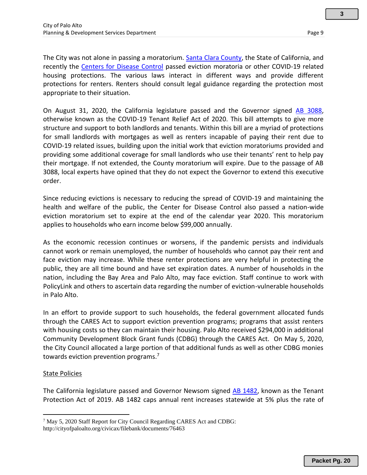The City was not alone in passing a moratorium. [Santa Clara County,](https://www.sccgov.org/sites/osh/Documents/County%20Evictions%20Ordinance.pdf) the State of California, and recently the [Centers for Disease Control](https://www.cdc.gov/coronavirus/2019-ncov/covid-eviction-declaration.html) passed eviction moratoria or other COVID-19 related housing protections. The various laws interact in different ways and provide different protections for renters. Renters should consult legal guidance regarding the protection most appropriate to their situation.

On August 31, 2020, the California legislature passed and the Governor signed [AB 3088,](https://leginfo.legislature.ca.gov/faces/billTextClient.xhtml?bill_id=201920200AB3088) otherwise known as the COVID-19 Tenant Relief Act of 2020. This bill attempts to give more structure and support to both landlords and tenants. Within this bill are a myriad of protections for small landlords with mortgages as well as renters incapable of paying their rent due to COVID-19 related issues, building upon the initial work that eviction moratoriums provided and providing some additional coverage for small landlords who use their tenants' rent to help pay their mortgage. If not extended, the County moratorium will expire. Due to the passage of AB 3088, local experts have opined that they do not expect the Governor to extend this executive order.

Since reducing evictions is necessary to reducing the spread of COVID-19 and maintaining the health and welfare of the public, the Center for Disease Control also passed a nation-wide eviction moratorium set to expire at the end of the calendar year 2020. This moratorium applies to households who earn income below \$99,000 annually.

As the economic recession continues or worsens, if the pandemic persists and individuals cannot work or remain unemployed, the number of households who cannot pay their rent and face eviction may increase. While these renter protections are very helpful in protecting the public, they are all time bound and have set expiration dates. A number of households in the nation, including the Bay Area and Palo Alto, may face eviction. Staff continue to work with PolicyLink and others to ascertain data regarding the number of eviction-vulnerable households in Palo Alto.

In an effort to provide support to such households, the federal government allocated funds through the CARES Act to support eviction prevention programs; programs that assist renters with housing costs so they can maintain their housing. Palo Alto received \$294,000 in additional Community Development Block Grant funds (CDBG) through the CARES Act. On May 5, 2020, the City Council allocated a large portion of that additional funds as well as other CDBG monies towards eviction prevention programs.<sup>7</sup>

#### State Policies

The California legislature passed and Governor Newsom signed [AB 1482,](https://leginfo.legislature.ca.gov/faces/billTextClient.xhtml?bill_id=201920200AB1482) known as the Tenant Protection Act of 2019. AB 1482 caps annual rent increases statewide at 5% plus the rate of

<sup>7</sup> May 5, 2020 Staff Report for City Council Regarding CARES Act and CDBG:

http://cityofpaloalto.org/civicax/filebank/documents/76463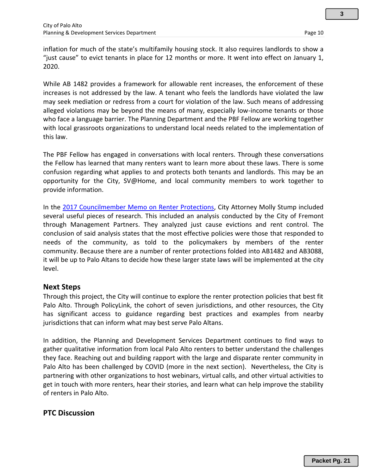inflation for much of the state's multifamily housing stock. It also requires landlords to show a "just cause" to evict tenants in place for 12 months or more. It went into effect on January 1, 2020.

While AB 1482 provides a framework for allowable rent increases, the enforcement of these increases is not addressed by the law. A tenant who feels the landlords have violated the law may seek mediation or redress from a court for violation of the law. Such means of addressing alleged violations may be beyond the means of many, especially low-income tenants or those who face a language barrier. The Planning Department and the PBF Fellow are working together with local grassroots organizations to understand local needs related to the implementation of this law.

The PBF Fellow has engaged in conversations with local renters. Through these conversations the Fellow has learned that many renters want to learn more about these laws. There is some confusion regarding what applies to and protects both tenants and landlords. This may be an opportunity for the City, SV@Home, and local community members to work together to provide information.

In the [2017 Councilmember Memo on Renter Protections,](https://www.cityofpaloalto.org/civicax/filebank/documents/61406) City Attorney Molly Stump included several useful pieces of research. This included an analysis conducted by the City of Fremont through Management Partners. They analyzed just cause evictions and rent control. The conclusion of said analysis states that the most effective policies were those that responded to needs of the community, as told to the policymakers by members of the renter community. Because there are a number of renter protections folded into AB1482 and AB3088, it will be up to Palo Altans to decide how these larger state laws will be implemented at the city level.

## **Next Steps**

Through this project, the City will continue to explore the renter protection policies that best fit Palo Alto. Through PolicyLink, the cohort of seven jurisdictions, and other resources, the City has significant access to guidance regarding best practices and examples from nearby jurisdictions that can inform what may best serve Palo Altans.

In addition, the Planning and Development Services Department continues to find ways to gather qualitative information from local Palo Alto renters to better understand the challenges they face. Reaching out and building rapport with the large and disparate renter community in Palo Alto has been challenged by COVID (more in the next section). Nevertheless, the City is partnering with other organizations to host webinars, virtual calls, and other virtual activities to get in touch with more renters, hear their stories, and learn what can help improve the stability of renters in Palo Alto.

# **PTC Discussion**